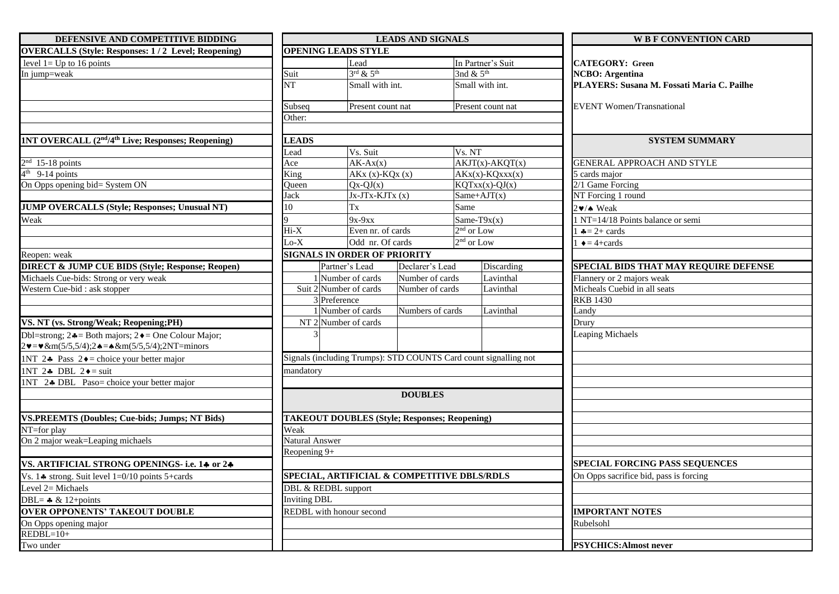| DEFENSIVE AND COMPETITIVE BIDDING                                                                       |                       |                                     | <b>LEADS AND SIGNALS</b>                                         |                                        | <b>W B F CONVENTION CARD</b>               |  |  |  |
|---------------------------------------------------------------------------------------------------------|-----------------------|-------------------------------------|------------------------------------------------------------------|----------------------------------------|--------------------------------------------|--|--|--|
| <b>OVERCALLS</b> (Style: Responses: 1/2 Level; Reopening)                                               |                       | <b>OPENING LEADS STYLE</b>          |                                                                  |                                        |                                            |  |  |  |
| level $1 = Up$ to 16 points                                                                             |                       | Lead                                |                                                                  | In Partner's Suit                      | <b>CATEGORY: Green</b>                     |  |  |  |
| In jump=weak                                                                                            | Suit                  | $3^{\text{rd}}$ & $5^{\text{th}}$   |                                                                  | 3nd $& 5th$                            | <b>NCBO</b> : Argentina                    |  |  |  |
|                                                                                                         | <b>NT</b>             | Small with int.                     |                                                                  | Small with int.                        | PLAYERS: Susana M. Fossati Maria C. Pailhe |  |  |  |
|                                                                                                         | Subseq                | Present count nat                   |                                                                  | Present count nat                      | <b>EVENT Women/Transnational</b>           |  |  |  |
|                                                                                                         | Other:                |                                     |                                                                  |                                        |                                            |  |  |  |
| 1NT OVERCALL (2 <sup>nd</sup> /4 <sup>th</sup> Live; Responses; Reopening)                              | <b>LEADS</b>          |                                     |                                                                  |                                        | <b>SYSTEM SUMMARY</b>                      |  |  |  |
|                                                                                                         | Lead                  | Vs. Suit                            | Vs. NT                                                           |                                        |                                            |  |  |  |
| $2nd$ 15-18 points                                                                                      | Ace                   | $AK-Ax(x)$                          |                                                                  | $AKJT(x)$ -AKQT(x)                     | <b>GENERAL APPROACH AND STYLE</b>          |  |  |  |
| $4th$ 9-14 points                                                                                       | King                  | $AKx (x)-KQx (x)$                   |                                                                  | $AKx(x)-KQxxx(x)$                      | $5$ cards major                            |  |  |  |
| On Opps opening bid= System ON                                                                          | Queen                 | $Qx-QJ(x)$                          |                                                                  | $KQTxx(x)-QJ(x)$                       | 2/1 Game Forcing                           |  |  |  |
|                                                                                                         | Jack                  | $Jx-JTx-KJTx(x)$                    |                                                                  | Same+AJ $T(x)$                         | NT Forcing 1 round                         |  |  |  |
| JUMP OVERCALLS (Style; Responses; Unusual NT)                                                           | 10                    | Tx                                  | Same                                                             |                                        | 2v/A Weak                                  |  |  |  |
| Weak                                                                                                    |                       | $9x-9xx$                            |                                                                  | Same-T $9x(x)$                         | NT=14/18 Points balance or semi            |  |  |  |
|                                                                                                         | $Hi-X$                | Even nr. of cards                   |                                                                  | $2nd$ or Low                           | $\clubsuit$ = 2+ cards                     |  |  |  |
|                                                                                                         | $Lo-X$                | Odd nr. Of cards                    |                                                                  | $2nd$ or Low                           | $\triangleq$ = 4+cards                     |  |  |  |
| Reopen: weak                                                                                            |                       | <b>SIGNALS IN ORDER OF PRIORITY</b> |                                                                  |                                        |                                            |  |  |  |
| <b>DIRECT &amp; JUMP CUE BIDS (Style; Response; Reopen)</b>                                             |                       | Partner's Lead                      | Declarer's Lead                                                  | Discarding                             | SPECIAL BIDS THAT MAY REQUIRE DEFENSE      |  |  |  |
| Michaels Cue-bids: Strong or very weak                                                                  |                       | 1 Number of cards                   | Number of cards                                                  | Lavinthal                              | Flannery or 2 majors weak                  |  |  |  |
| Western Cue-bid : ask stopper                                                                           |                       | Suit 2 Number of cards              | Number of cards                                                  | Lavinthal                              | Micheals Cuebid in all seats               |  |  |  |
|                                                                                                         |                       | 3 Preference                        |                                                                  |                                        | <b>RKB 1430</b>                            |  |  |  |
|                                                                                                         |                       | 1 Number of cards                   | Numbers of cards                                                 | Lavinthal                              | Landy                                      |  |  |  |
| VS. NT (vs. Strong/Weak; Reopening;PH)                                                                  |                       | NT <sub>2</sub> Number of cards     |                                                                  |                                        | Drury                                      |  |  |  |
| Dbl=strong; $2 \triangleleft =$ Both majors; $2 \triangleleft =$ One Colour Major;                      |                       |                                     |                                                                  |                                        | Leaping Michaels                           |  |  |  |
| $2\mathbf{v} = \mathbf{v} \&m(5/5,5/4);$ $2\mathbf{A} = \mathbf{A} \&m(5/5,5/4);$ $2NT = \text{minors}$ |                       |                                     |                                                                  |                                        |                                            |  |  |  |
| 1NT 24 Pass $2\bullet$ = choice your better major                                                       |                       |                                     | Signals (including Trumps): STD COUNTS Card count signalling not |                                        |                                            |  |  |  |
| 1NT 24 DBL 2 $\bullet$ = suit                                                                           | mandatory             |                                     |                                                                  |                                        |                                            |  |  |  |
| 1NT 24 DBL Paso= choice your better major                                                               |                       |                                     |                                                                  |                                        |                                            |  |  |  |
|                                                                                                         |                       |                                     | <b>DOUBLES</b>                                                   |                                        |                                            |  |  |  |
|                                                                                                         |                       |                                     |                                                                  |                                        |                                            |  |  |  |
| <b>VS.PREEMTS (Doubles; Cue-bids; Jumps; NT Bids)</b>                                                   |                       |                                     | <b>TAKEOUT DOUBLES (Style; Responses; Reopening)</b>             |                                        |                                            |  |  |  |
| NT=for play                                                                                             | Weak                  |                                     |                                                                  |                                        |                                            |  |  |  |
| On 2 major weak=Leaping michaels                                                                        | <b>Natural Answer</b> |                                     |                                                                  |                                        |                                            |  |  |  |
|                                                                                                         | Reopening 9+          |                                     |                                                                  |                                        |                                            |  |  |  |
| VS. ARTIFICIAL STRONG OPENINGS- i.e. 14 or 24                                                           |                       |                                     |                                                                  |                                        | <b>SPECIAL FORCING PASS SEQUENCES</b>      |  |  |  |
| Vs. 14 strong. Suit level 1=0/10 points 5+cards                                                         |                       |                                     | SPECIAL, ARTIFICIAL & COMPETITIVE DBLS/RDLS                      | On Opps sacrifice bid, pass is forcing |                                            |  |  |  |
| Level $2=$ Michaels                                                                                     |                       | DBL & REDBL support                 |                                                                  |                                        |                                            |  |  |  |
| DBL= $\clubsuit \& 12 + points$                                                                         | <b>Inviting DBL</b>   |                                     |                                                                  |                                        |                                            |  |  |  |
| <b>OVER OPPONENTS' TAKEOUT DOUBLE</b>                                                                   |                       | REDBL with honour second            |                                                                  | <b>IMPORTANT NOTES</b>                 |                                            |  |  |  |
| On Opps opening major                                                                                   |                       |                                     |                                                                  |                                        | Rubelsohl                                  |  |  |  |
| $REDBL=10+$                                                                                             |                       |                                     |                                                                  |                                        |                                            |  |  |  |
| Two under                                                                                               |                       |                                     |                                                                  |                                        | <b>PSYCHICS: Almost never</b>              |  |  |  |
|                                                                                                         |                       |                                     |                                                                  |                                        |                                            |  |  |  |